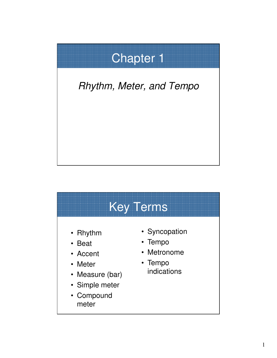# Chapter 1

### *Rhythm, Meter, and Tempo*

#### Key Terms • Rhythm • Beat • Accent • Meter • Measure (bar) • Simple meter • Compound meter • Syncopation • Tempo • Metronome • Tempo indications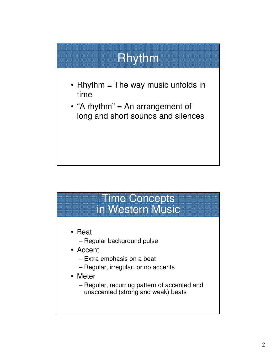## Rhythm

- Rhythm  $=$  The way music unfolds in time
- "A rhythm" = An arrangement of long and short sounds and silences

#### Time Concepts in Western Music

- Beat
	- Regular background pulse
- Accent
	- Extra emphasis on a beat
	- Regular, irregular, or no accents
- Meter
	- Regular, recurring pattern of accented and unaccented (strong and weak) beats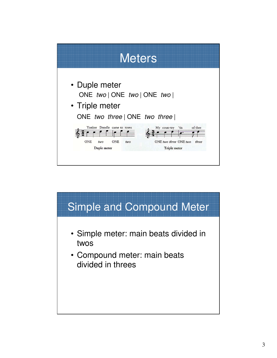

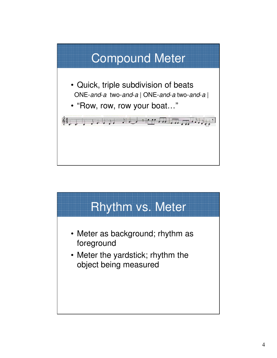

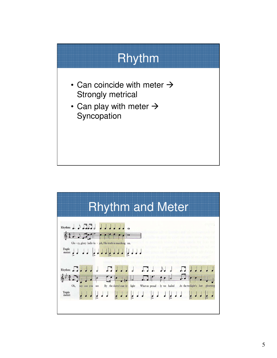

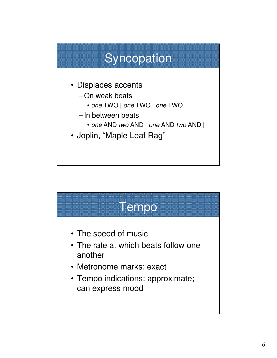